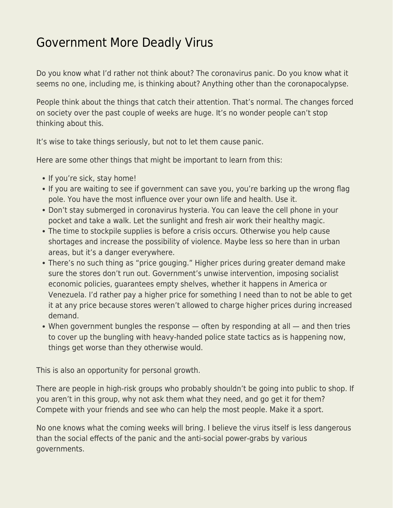## [Government More Deadly Virus](https://everything-voluntary.com/government-more-deadly-virus)

Do you know what I'd rather not think about? The coronavirus panic. Do you know what it seems no one, including me, is thinking about? Anything other than the coronapocalypse.

People think about the things that catch their attention. That's normal. The changes forced on society over the past couple of weeks are huge. It's no wonder people can't stop thinking about this.

It's wise to take things seriously, but not to let them cause panic.

Here are some other things that might be important to learn from this:

- If you're sick, stay home!
- If you are waiting to see if government can save you, you're barking up the wrong flag pole. You have the most influence over your own life and health. Use it.
- Don't stay submerged in coronavirus hysteria. You can leave the cell phone in your pocket and take a walk. Let the sunlight and fresh air work their healthy magic.
- The time to stockpile supplies is before a crisis occurs. Otherwise you help cause shortages and increase the possibility of violence. Maybe less so here than in urban areas, but it's a danger everywhere.
- There's no such thing as "price gouging." Higher prices during greater demand make sure the stores don't run out. Government's unwise intervention, imposing socialist economic policies, guarantees empty shelves, whether it happens in America or Venezuela. I'd rather pay a higher price for something I need than to not be able to get it at any price because stores weren't allowed to charge higher prices during increased demand.
- When government bungles the response often by responding at all and then tries to cover up the bungling with heavy-handed police state tactics as is happening now, things get worse than they otherwise would.

This is also an opportunity for personal growth.

There are people in high-risk groups who probably shouldn't be going into public to shop. If you aren't in this group, why not ask them what they need, and go get it for them? Compete with your friends and see who can help the most people. Make it a sport.

No one knows what the coming weeks will bring. I believe the virus itself is less dangerous than the social effects of the panic and the anti-social power-grabs by various governments.